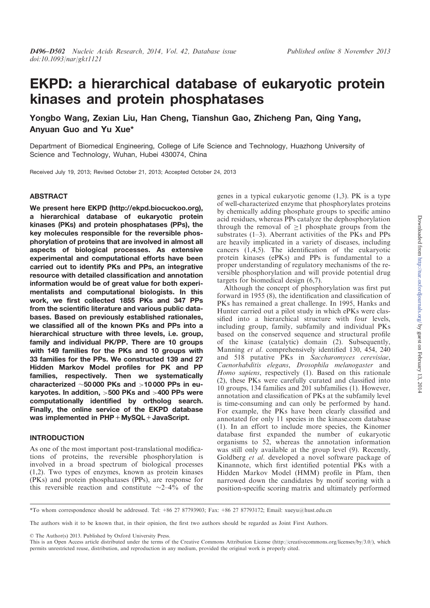# EKPD: a hierarchical database of eukaryotic protein kinases and protein phosphatases

Yongbo Wang, Zexian Liu, Han Cheng, Tianshun Gao, Zhicheng Pan, Qing Yang, Anyuan Guo and Yu Xue\*

Department of Biomedical Engineering, College of Life Science and Technology, Huazhong University of Science and Technology, Wuhan, Hubei 430074, China

Received July 19, 2013; Revised October 21, 2013; Accepted October 24, 2013

#### ABSTRACT

We present here EKPD (http://ekpd.biocuckoo.org), a hierarchical database of eukaryotic protein kinases (PKs) and protein phosphatases (PPs), the key molecules responsible for the reversible phosphorylation of proteins that are involved in almost all aspects of biological processes. As extensive experimental and computational efforts have been carried out to identify PKs and PPs, an integrative resource with detailed classification and annotation information would be of great value for both experimentalists and computational biologists. In this work, we first collected 1855 PKs and 347 PPs from the scientific literature and various public databases. Based on previously established rationales, we classified all of the known PKs and PPs into a hierarchical structure with three levels, i.e. group, family and individual PK/PP. There are 10 groups with 149 families for the PKs and 10 groups with 33 families for the PPs. We constructed 139 and 27 Hidden Markov Model profiles for PK and PP families, respectively. Then we systematically characterized  $\sim$  50 000 PKs and  $>$  10 000 PPs in eukaryotes. In addition, >500 PKs and >400 PPs were computationally identified by ortholog search. Finally, the online service of the EKPD database was implemented in PHP + MvSQL + JavaScript.

## INTRODUCTION

As one of the most important post-translational modifications of proteins, the reversible phosphorylation is involved in a broad spectrum of biological processes (1,2). Two types of enzymes, known as protein kinases (PKs) and protein phosphatases (PPs), are response for this reversible reaction and constitute  $\sim$ 2–4% of the

genes in a typical eukaryotic genome (1,3). PK is a type of well-characterized enzyme that phosphorylates proteins by chemically adding phosphate groups to specific amino acid residues, whereas PPs catalyze the dephosphorylation through the removal of  $>1$  phosphate groups from the substrates (1–3). Aberrant activities of the PKs and PPs are heavily implicated in a variety of diseases, including cancers (1,4,5). The identification of the eukaryotic protein kinases (ePKs) and PPs is fundamental to a proper understanding of regulatory mechanisms of the reversible phosphorylation and will provide potential drug targets for biomedical design (6,7).

Although the concept of phosphorylation was first put forward in 1955 (8), the identification and classification of PKs has remained a great challenge. In 1995, Hanks and Hunter carried out a pilot study in which ePKs were classified into a hierarchical structure with four levels, including group, family, subfamily and individual PKs based on the conserved sequence and structural profile of the kinase (catalytic) domain (2). Subsequently, Manning et al. comprehensively identified 130, 454, 240 and 518 putative PKs in Saccharomyces cerevisiae, Caenorhabditis elegans, Drosophila melanogaster and Homo sapiens, respectively (1). Based on this rationale (2), these PKs were carefully curated and classified into 10 groups, 134 families and 201 subfamilies (1). However, annotation and classification of PKs at the subfamily level is time-consuming and can only be performed by hand. For example, the PKs have been clearly classified and annotated for only 11 species in the kinase.com database (1). In an effort to include more species, the Kinomer database first expanded the number of eukaryotic organisms to 52, whereas the annotation information was still only available at the group level (9). Recently, Goldberg et al. developed a novel software package of Kinannote, which first identified potential PKs with a Hidden Markov Model (HMM) profile in Pfam, then narrowed down the candidates by motif scoring with a position-specific scoring matrix and ultimately performed

\*To whom correspondence should be addressed. Tel: +86 27 87793903; Fax: +86 27 87793172; Email: xueyu@hust.edu.cn

The authors wish it to be known that, in their opinion, the first two authors should be regarded as Joint First Authors.

© The Author(s) 2013. Published by Oxford University Press.

This is an Open Access article distributed under the terms of the Creative Commons Attribution License (http://creativecommons.org/licenses/by/3.0/), which permits unrestricted reuse, distribution, and reproduction in any medium, provided the original work is properly cited.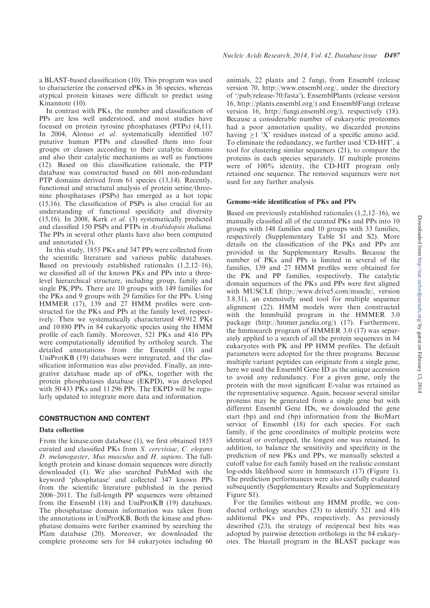a BLAST-based classification (10). This program was used to characterize the conserved ePKs in 36 species, whereas atypical protein kinases were difficult to predict using Kinannote (10).

In contrast with PKs, the number and classification of PPs are less well understood, and most studies have focused on protein tyrosine phosphatases (PTPs) (4,11). In 2004, Alonso et al. systematically identified 107 putative human PTPs and classified them into four groups or classes according to their catalytic domains and also their catalytic mechanisms as well as functions (12). Based on this classification rationale, the PTP database was constructed based on 601 non-redundant PTP domains derived from 61 species (13,14). Recently, functional and structural analysis of protein serine/threonine phosphatases (PSPs) has emerged as a hot topic (15,16). The classification of PSPs is also crucial for an understanding of functional specificity and diversity (15,16). In 2008, Kerk et al. (3) systematically predicted and classified 150 PSPs and PTPs in Arabidopsis thaliana. The PPs in several other plants have also been computed and annotated (3).

In this study, 1855 PKs and 347 PPs were collected from the scientific literature and various public databases. Based on previously established rationales (1,2,12–16), we classified all of the known PKs and PPs into a threelevel hierarchical structure, including group, family and single PK/PPs. There are 10 groups with 149 families for the PKs and 9 groups with 29 families for the PPs. Using HMMER (17), 139 and 27 HMM profiles were constructed for the PKs and PPs at the family level, respectively. Then we systematically characterized 49 912 PKs and 10 880 PPs in 84 eukaryotic species using the HMM profile of each family. Moreover, 521 PKs and 416 PPs were computationally identified by ortholog search. The detailed annotations from the Ensembl (18) and UniProtKB (19) databases were integrated, and the classification information was also provided. Finally, an integrative database made up of ePKs, together with the protein phosphatases database (EKPD), was developed with 50 433 PKs and 11 296 PPs. The EKPD will be regularly updated to integrate more data and information.

## CONSTRUCTION AND CONTENT

## Data collection

From the kinase.com database (1), we first obtained 1855 curated and classified PKs from S. cerevisiae, C. elegans D. melanogaster, Mus musculus and H. sapiens. The fulllength protein and kinase domain sequences were directly downloaded (1). We also searched PubMed with the keyword 'phosphatase' and collected 347 known PPs from the scientific literature published in the period 2006–2011. The full-length PP sequences were obtained from the Ensembl (18) and UniProtKB (19) databases. The phosphatase domain information was taken from the annotations in UniProtKB. Both the kinase and phosphatase domains were further examined by searching the Pfam database (20). Moreover, we downloaded the complete proteome sets for 84 eukaryotes including 60

animals, 22 plants and 2 fungi, from Ensembl (release version 70, http://www.ensembl.org/, under the directory of '/pub/release-70/fasta'), EnsemblPlants (release version 16, http://plants.ensembl.org/) and EnsemblFungi (release version 16, http://fungi.ensembl.org/), respectively (18). Because a considerable number of eukaryotic proteomes had a poor annotation quality, we discarded proteins having  $>1$  'X' residues instead of a specific amino acid. To eliminate the redundancy, we further used 'CD-HIT', a tool for clustering similar sequences (21), to compare the proteins in each species separately. If multiple proteins were of 100% identity, the CD-HIT program only retained one sequence. The removed sequences were not used for any further analysis.

## Genome-wide identification of PKs and PPs

Based on previously established rationales (1,2,12–16), we manually classified all of the curated PKs and PPs into 10 groups with 148 families and 10 groups with 33 families, respectively (Supplementary Table S1 and S2). More details on the classification of the PKs and PPs are provided in the Supplementary Results. Because the number of PKs and PPs is limited in several of the families, 139 and 27 HMM profiles were obtained for the PK and PP families, respectively. The catalytic domain sequences of the PKs and PPs were first aligned with MUSCLE (http://www.drive5.com/muscle/, version 3.8.31), an extensively used tool for multiple sequence alignment (22). HMM models were then constructed with the hmmbuild program in the HMMER 3.0 package (http://hmmer.janelia.org/) (17). Furthermore, the hmmsearch program of HMMER 3.0 (17) was separately applied to a search of all the protein sequences in 84 eukaryotes with PK and PP HMM profiles. The default parameters were adopted for the three programs. Because multiple variant peptides can originate from a single gene, here we used the Ensembl Gene ID as the unique accession to avoid any redundancy. For a given gene, only the protein with the most significant E-value was retained as the representative sequence. Again, because several similar proteins may be generated from a single gene but with different Ensembl Gene IDs, we downloaded the gene start (bp) and end (bp) information from the BioMart service of Ensembl (18) for each species. For each family, if the gene coordinates of multiple proteins were identical or overlapped, the longest one was retained. In addition, to balance the sensitivity and specificity in the prediction of new PKs and PPs, we manually selected a cutoff value for each family based on the realistic constant log-odds likelihood score in hmmsearch (17) (Figure 1). The prediction performances were also carefully evaluated subsequently (Supplementary Results and Supplementary Figure S1).

For the families without any HMM profile, we conducted orthology searches (23) to identify 521 and 416 additional PKs and PPs, respectively. As previously described (23), the strategy of reciprocal best hits was adopted by pairwise detection orthologs in the 84 eukaryotes. The blastall program in the BLAST package was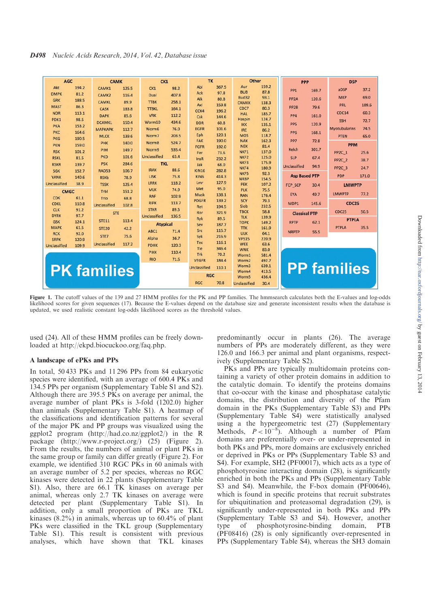## D498 Nucleic Acids Research, 2014, Vol. 42, Database issue

| <b>AGC</b>                         |                | <b>CAMK</b>         |       | CK <sub>1</sub>     |       | TK                  |                | Other                      |                | <b>PPP</b>           |       | <b>DSP</b>           |       |  |
|------------------------------------|----------------|---------------------|-------|---------------------|-------|---------------------|----------------|----------------------------|----------------|----------------------|-------|----------------------|-------|--|
| Akt                                | 194.2          | CAMK1               | 125.5 | CK1                 | 98.2  | Abl                 | 367.5          | Aur                        | 159.2          | PP <sub>1</sub>      | 169.7 | aDSP                 | 37.2  |  |
| <b>DMPK</b>                        | 81.2           | CAMK <sub>2</sub>   | 116.4 | Dual                | 407.8 | Ack                 | 97.8           | <b>BUB</b><br>Bud32        | 87.8<br>93.1   |                      |       | <b>MKP</b>           | 69.0  |  |
| <b>GRK</b>                         | 188.5          | <b>CAMKL</b>        | 89.9  | <b>TTBK</b>         | 258.1 | Alk                 | 80.8           | <b>CAMKK</b>               | 138.3          | PP <sub>2</sub> A    | 120.6 |                      |       |  |
| <b>MAST</b>                        | 86.3           | CASK                | 183.8 | <b>TTBKL</b>        | 164.1 | Axl                 | 159.8          | CDC7                       | 80.3           | PP <sub>2</sub> B    | 79.6  | <b>PRL</b>           | 109.6 |  |
| <b>NDR</b>                         | 113.1          | <b>DAPK</b>         | 85.6  | <b>VRK</b>          | 112.2 | CCK4                | 196.2          | <b>HAL</b>                 | 185.7          | PP <sub>4</sub>      | 161.0 | CDC14                | 60.3  |  |
| PDK1                               | 98.5           | <b>DCAMKL</b>       | 150.4 | Worm10              | 434.6 | Csk<br><b>DDR</b>   | 144.6<br>60.8  | Haspin                     | 124.7          |                      |       | <b>SSH</b>           | 72.7  |  |
| <b>PKA</b>                         | 153.2          | <b>МАРКАРК</b>      | 112.7 | Worm6               | 76.0  | <b>EGFR</b>         | 101.6          | <b>IKK</b>                 | 135.1          | <b>PP5</b>           | 120.9 | <b>Myotubularins</b> | 74.5  |  |
| <b>PKC</b>                         | 164.6          |                     |       | Worm7               | 203.5 | Eph                 | 120.1          | <b>IRE</b><br><b>MOS</b>   | 86.2<br>118.7  | PP <sub>6</sub>      | 168.1 | <b>PTEN</b>          |       |  |
| <b>PKG</b>                         | 190.5          | <b>MLCK</b>         | 139.6 |                     |       | FAK                 | 190.0          | <b>NAK</b>                 | 162.3          | PP7                  | 72.8  |                      | 65.0  |  |
| <b>PKN</b>                         | 159.0          | PHK                 | 140.0 | Worm8               | 524.7 | FGFR                | 192.0          | <b>NEK</b>                 | 81.4           |                      |       | <b>PPM</b>           |       |  |
| <b>RSK</b>                         | 101.2          | PIM                 | 149.7 | Worm9               | 535.4 | Fer                 | 73.6           | NKF1                       | 137.0          | Kelch                | 301.7 | <b>PP2C 1</b>        | 25.6  |  |
| <b>RSKL</b>                        | 81.5           | <b>PKD</b>          | 101.6 | <b>Unclassified</b> | 63.4  | InsR                | 232.2          | NKF <sub>2</sub>           | 125.0          | <b>SLP</b>           | 67.4  | <b>PP2C 2</b>        | 38.7  |  |
| <b>RSKR</b>                        | 139.7          | <b>PSK</b>          | 284.6 | <b>TKL</b>          |       | Jak                 | 68.0           | NKF3<br>NKF4               | 175.9<br>180.9 | Unclassified         | 94.9  | PP <sub>2C</sub> 3   | 24.7  |  |
| <b>SGK</b>                         | 152.7          | <b>RAD53</b>        | 106.7 | <b>IRAK</b>         | 88.6  | <b>KIN16</b>        | 282.8          | NKF5                       | 92.3           |                      |       |                      |       |  |
| <b>YANK</b>                        | 140.6          | <b>RSKb</b>         | 78.9  | LISK                | 75.8  | <b>KING</b>         | 414.3          | <b>NRBP</b>                | 154.5          | <b>Asp Based PTP</b> |       | <b>PDP</b>           | 171.0 |  |
| Unclassified                       | 38.9           | <b>TSSK</b>         | 125.4 | LRRK                | 118.2 | Lmr                 | 127.9          | <b>PEK</b>                 | 107.2          | FCP SCP<br>30.4      |       | <b>LMWPTP</b>        |       |  |
| <b>CMGC</b>                        |                | Trbl                | 151.2 | <b>MLK</b>          | 74.9  | Met                 | 95.0           | PLK                        | 75.5           |                      |       | <b>LMWPTP</b>        | 77.2  |  |
| <b>CDK</b>                         | 61.1           | Trio                | 68.8  | <b>RAF</b>          | 102.9 | Musk                | 138.1          | <b>RAN</b>                 | 176.4          | <b>EYA</b>           | 49.7  |                      |       |  |
| <b>CDKL</b>                        | 110.8          | <b>Unclassified</b> | 102.8 | <b>RIPK</b>         | 113.7 | <b>PDGFR</b>        | 139.2<br>194.5 | SCY<br>Slob                | 79.3<br>232.5  | MDP1<br>145.6        |       | <b>CDC25</b>         |       |  |
| <b>CLK</b>                         | 91.2           | <b>STE</b>          |       | <b>STKR</b>         | 89.5  | <b>Ret</b><br>Ror   | 321.9          | <b>TBCK</b>                | 58.8           | <b>Classical PTP</b> |       | CDC <sub>25</sub>    | 50.5  |  |
| <b>DYRK</b>                        | 97.7           |                     |       | Unclassified        | 136.5 | <b>Ryk</b>          | 89.5           | <b>TLK</b>                 | 139.9          |                      |       | <b>PTPLA</b>         |       |  |
| <b>GSK</b>                         | 124.1          | <b>STE11</b>        | 113.4 | <b>Atypical</b>     |       | Sev                 | 187.7          | <b>TOPK</b>                | 149.2          | <b>RPTP</b>          | 62.1  |                      |       |  |
| <b>MAPK</b>                        | 61.5           | <b>STE20</b>        | 42.2  | ABC1                | 71.4  | Src                 | 115.7          | <b>TTK</b>                 | 161.9          | <b>NRPTP</b>         | 55.5  | <b>PTPLA</b>         | 35.5  |  |
| <b>RCK</b>                         | 92.0           | STE7                | 75.6  | Alpha               | 36.7  | Syk                 | 216.9          | <b>ULK</b><br><b>VPS15</b> | 64.1<br>220.9  |                      |       |                      |       |  |
| <b>SRPK</b><br><b>Unclassified</b> | 120.9<br>109.9 | Unclassified        | 117.2 | <b>PDHK</b>         | 120.3 | <b>Tec</b>          | 116.1          | WEE                        | 63.6           |                      |       |                      |       |  |
|                                    |                |                     |       |                     |       | Tie                 | 346.4          | <b>WNK</b>                 | 83.0           |                      |       |                      |       |  |
|                                    |                |                     |       | <b>PIKK</b>         | 110.4 | Trk                 | 70.2           | Worm1                      | 581.4          |                      |       |                      |       |  |
|                                    |                |                     |       | <b>RIO</b>          | 71.5  | <b>VEGFR</b>        | 184.4          | Worm2                      | 492.7          |                      |       |                      |       |  |
| <b>PK families</b>                 |                |                     |       |                     |       | <b>Unclassified</b> | 110.1          | Worm3                      | 639.1<br>413.5 |                      |       | <b>PP families</b>   |       |  |
|                                    |                |                     |       |                     |       | <b>RGC</b>          |                | Worm4<br>Worm5             | 436.4          |                      |       |                      |       |  |
|                                    |                |                     |       |                     |       | <b>RGC</b>          | 70.8           | Unclassified               | 30.4           |                      |       |                      |       |  |
|                                    |                |                     |       |                     |       |                     |                |                            |                |                      |       |                      |       |  |

Figure 1. The cutoff values of the 139 and 27 HMM profiles for the PK and PP families. The hmmsearch calculates both the E-values and log-odds likelihood scores for given sequences (17). Because the E-values depend on the database size and generate inconsistent results when the database is updated, we used realistic constant log-odds likelihood scores as the threshold values.

used (24). All of these HMM profiles can be freely downloaded at http://ekpd.biocuckoo.org/faq.php.

#### A landscape of ePKs and PPs

In total, 50 433 PKs and 11 296 PPs from 84 eukaryotic species were identified, with an average of 600.4 PKs and 134.5 PPs per organism (Supplementary Table S1 and S2). Although there are 395.5 PKs on average per animal, the average number of plant PKs is 3-fold (1202.0) higher than animals (Supplementary Table S1). A heatmap of the classifications and identification patterns for several of the major PK and PP groups was visualized using the ggplot2 program (http://had.co.nz/ggplot2/) in the R package (http://www.r-project.org/) (25) (Figure 2). From the results, the numbers of animal or plant PKs in the same group or family can differ greatly (Figure 2). For example, we identified 310 RGC PKs in 60 animals with an average number of 5.2 per species, whereas no RGC kinases were detected in 22 plants (Supplementary Table S1). Also, there are 66.1 TK kinases on average per animal, whereas only 2.7 TK kinases on average were detected per plant (Supplementary Table S1). In addition, only a small proportion of PKs are TKL kinases (8.2%) in animals, whereas up to 60.4% of plant PKs were classified in the TKL group (Supplementary Table S1). This result is consistent with previous analyses, which have shown that TKL kinases

predominantly occur in plants (26). The average numbers of PPs are moderately different, as they were 126.0 and 166.3 per animal and plant organisms, respectively (Supplementary Table S2).

PKs and PPs are typically multidomain proteins containing a variety of other protein domains in addition to the catalytic domain. To identify the proteins domains that co-occur with the kinase and phosphatase catalytic domains, the distribution and diversity of the Pfam domain in the PKs (Supplementary Table S3) and PPs (Supplementary Table S4) were statistically analysed using a the hypergeometric test (27) (Supplementary Methods,  $P < 10^{-8}$ ). Although a number of Pfam domains are preferentially over- or under-represented in both PKs and PPs, more domains are exclusively enriched or deprived in PKs or PPs (Supplementary Table S3 and S4). For example, SH2 (PF00017), which acts as a type of phosphotyrosine interacting domain (28), is significantly enriched in both the PKs and PPs (Supplementary Table S3 and S4). Meanwhile, the F-box domain (PF00646), which is found in specific proteins that recruit substrates for ubiquitination and proteasomal degradation (29), is significantly under-represented in both PKs and PPs (Supplementary Table S3 and S4). However, another type of phosphotyrosine-binding domain, PTB (PF08416) (28) is only significantly over-represented in PPs (Supplementary Table S4), whereas the SH3 domain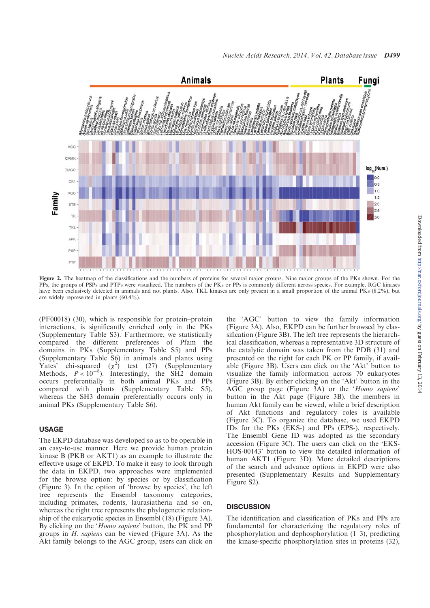

Figure 2. The heatmap of the classifications and the numbers of proteins for several major groups. Nine major groups of the PKs shown. For the PPs, the groups of PSPs and PTPs were visualized. The numbers of the PKs or PPs is commonly different across species. For example, RGC kinases have been exclusively detected in animals and not plants. Also, TKL kinases are only present in a small proportion of the animal PKs (8.2%), but are widely represented in plants (60.4%).

(PF00018) (30), which is responsible for protein–protein interactions, is significantly enriched only in the PKs (Supplementary Table S3). Furthermore, we statistically compared the different preferences of Pfam the domains in PKs (Supplementary Table S5) and PPs (Supplementary Table S6) in animals and plants using Yates' chi-squared  $(\chi^2)$  test (27) (Supplementary Methods,  $P < 10^{-8}$ ). Interestingly, the SH2 domain occurs preferentially in both animal PKs and PPs compared with plants (Supplementary Table S5), whereas the SH3 domain preferentially occurs only in animal PKs (Supplementary Table S6).

### USAGE

The EKPD database was developed so as to be operable in an easy-to-use manner. Here we provide human protein kinase B (PKB or AKT1) as an example to illustrate the effective usage of EKPD. To make it easy to look through the data in EKPD, two approaches were implemented for the browse option: by species or by classification (Figure 3). In the option of 'browse by species', the left tree represents the Ensembl taxonomy categories, including primates, rodents, laurasiatheria and so on, whereas the right tree represents the phylogenetic relationship of the eukaryotic species in Ensembl (18) (Figure 3A). By clicking on the 'Homo sapiens' button, the PK and PP groups in  $H$ . *sapiens* can be viewed (Figure 3A). As the Akt family belongs to the AGC group, users can click on

the 'AGC' button to view the family information (Figure 3A). Also, EKPD can be further browsed by classification (Figure 3B). The left tree represents the hierarchical classification, whereas a representative 3D structure of the catalytic domain was taken from the PDB (31) and presented on the right for each PK or PP family, if available (Figure 3B). Users can click on the 'Akt' button to visualize the family information across 70 eukaryotes (Figure 3B). By either clicking on the 'Akt' button in the AGC group page (Figure 3A) or the 'Homo sapiens' button in the Akt page (Figure 3B), the members in human Akt family can be viewed, while a brief description of Akt functions and regulatory roles is available (Figure 3C). To organize the database, we used EKPD IDs for the PKs (EKS-) and PPs (EPS-), respectively. The Ensembl Gene ID was adopted as the secondary accession (Figure 3C). The users can click on the 'EKS-HOS-00143' button to view the detailed information of human AKT1 (Figure 3D). More detailed descriptions of the search and advance options in EKPD were also presented (Supplementary Results and Supplementary Figure S2).

## **DISCUSSION**

The identification and classification of PKs and PPs are fundamental for characterizing the regulatory roles of phosphorylation and dephosphorylation (1–3), predicting the kinase-specific phosphorylation sites in proteins (32),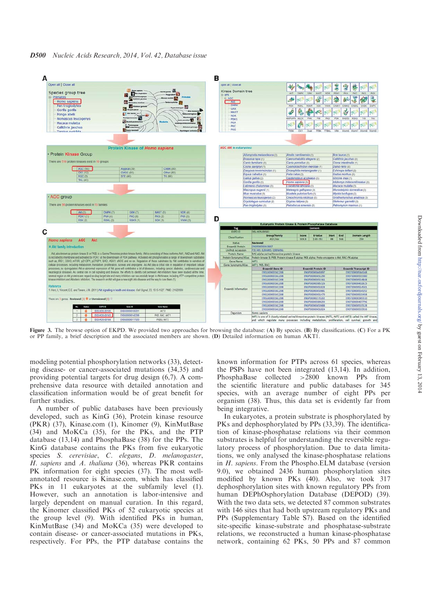

Figure 3. The browse option of EKPD. We provided two approaches for browsing the database: (A) By species. (B) By classifications. (C) For a PK or PP family, a brief description and the associated members are shown. (D) Detailed information on human AKT1.

modeling potential phosphorylation networks (33), detecting disease- or cancer-associated mutations (34,35) and providing potential targets for drug design (6,7). A comprehensive data resource with detailed annotation and classification information would be of great benefit for further studies.

A number of public databases have been previously developed, such as KinG (36), Protein kinase resource (PKR) (37), Kinase.com (1), Kinomer (9), KinMutBase (34) and MoKCa (35), for the PKs, and the PTP database (13,14) and PhosphaBase (38) for the PPs. The KinG database contains the PKs from five eukaryotic species S. cerevisiae, C. elegans, D. melanogaster, H. sapiens and A. thaliana (36), whereas PKR contains PK information for eight species (37). The most wellannotated resource is Kinase.com, which has classified PKs in 11 eukaryotes at the subfamily level (1). However, such an annotation is labor-intensive and largely dependent on manual curation. In this regard, the Kinomer classified PKs of 52 eukaryotic species at the group level (9). With identified PKs in human, KinMutBase (34) and MoKCa (35) were developed to contain disease- or cancer-associated mutations in PKs, respectively. For PPs, the PTP database contains the known information for PTPs across 61 species, whereas the PSPs have not been integrated (13,14). In addition, PhosphaBase collected >2800 known PPs from the scientific literature and public databases for 345 species, with an average number of eight PPs per organism (38). Thus, this data set is evidently far from being integrative.

In eukaryotes, a protein substrate is phosphorylated by PKs and dephosphorylated by PPs (33,39). The identification of kinase-phosphatase relations via their common substrates is helpful for understanding the reversible regulatory process of phosphorylation. Due to data limitations, we only analysed the kinase-phosphatase relations in H. sapiens. From the Phospho.ELM database (version 9.0), we obtained 2436 human phosphorylation sites modified by known PKs (40). Also, we took 317 dephosphorylation sites with known regulatory PPs from human DEPhOsphorylation Database (DEPOD) (39). With the two data sets, we detected 87 common substrates with 146 sites that had both upstream regulatory PKs and PPs (Supplementary Table S7). Based on the identified site-specific kinase-substrate and phosphatase-substrate relations, we reconstructed a human kinase-phosphatase network, containing 62 PKs, 50 PPs and 87 common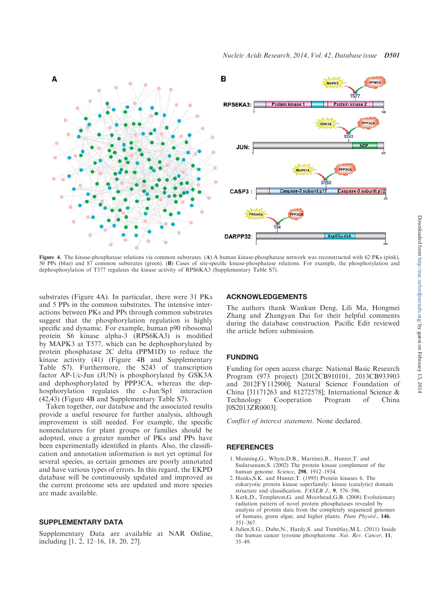

Figure 4. The kinase-phosphatase relations via common substrates. (A) A human kinase-phosphatase network was reconstructed with 62 PKs (pink), 50 PPs (blue) and 87 common substrates (green). (B) Cases of site-specific kinase-phosphatase relations. For example, the phosphorylation and dephosphorylation of T577 regulates the kinase activity of RPS6KA3 (Supplementary Table S7).

substrates (Figure 4A). In particular, there were 31 PKs and 5 PPs in the common substrates. The intensive interactions between PKs and PPs through common substrates suggest that the phosphorylation regulation is highly specific and dynamic. For example, human p90 ribosomal protein S6 kinase alpha-3 (RPS6KA3) is modified by MAPK3 at T577, which can be dephosphorylated by protein phosphatase 2C delta (PPM1D) to reduce the kinase activity (41) (Figure 4B and Supplementary Table S7). Furthermore, the S243 of transcription factor AP-1/c-Jun (JUN) is phosphorylated by GSK3A and dephosphorylated by PPP3CA, whereas the dephosphorylation regulates the c-Jun/Sp1 interaction (42,43) (Figure 4B and Supplementary Table S7).

Taken together, our database and the associated results provide a useful resource for further analysis, although improvement is still needed. For example, the specific nomenclatures for plant groups or families should be adopted, once a greater number of PKs and PPs have been experimentally identified in plants. Also, the classification and annotation information is not yet optimal for several species, as certain genomes are poorly annotated and have various types of errors. In this regard, the EKPD database will be continuously updated and improved as the current proteome sets are updated and more species are made available.

## SUPPLEMENTARY DATA

Supplementary Data are available at NAR Online, including [1, 2, 12–16, 18, 20, 27].

## ACKNOWLEDGEMENTS

The authors thank Wankun Deng, Lili Ma, Hongmei Zhang and Zhangyan Dai for their helpful comments during the database construction. Pacific Edit reviewed the article before submission.

## FUNDING

Funding for open access charge: National Basic Research Program (973 project) [2012CB910101, 2013CB933903 and 2012FY112900]; Natural Science Foundation of China [31171263 and 81272578]; International Science & Technology Cooperation Program of China Technology Cooperation Program of China [0S2013ZR0003].

Conflict of interest statement. None declared.

#### **REFERENCES**

- 1. Manning,G., Whyte,D.B., Martinez,R., Hunter,T. and Sudarsanam,S. (2002) The protein kinase complement of the human genome. Science, 298, 1912–1934.
- 2. Hanks,S.K. and Hunter,T. (1995) Protein kinases 6. The eukaryotic protein kinase superfamily: kinase (catalytic) domain structure and classification.  $FASEB$  J., 9, 576–596.
- 3. Kerk,D., Templeton,G. and Moorhead,G.B. (2008) Evolutionary radiation pattern of novel protein phosphatases revealed by analysis of protein data from the completely sequenced genomes of humans, green algae, and higher plants. Plant Physiol., 146, 351–367.
- 4. Julien,S.G., Dube,N., Hardy,S. and Tremblay,M.L. (2011) Inside the human cancer tyrosine phosphatome. Nat. Rev. Cancer, 11, 35–49.